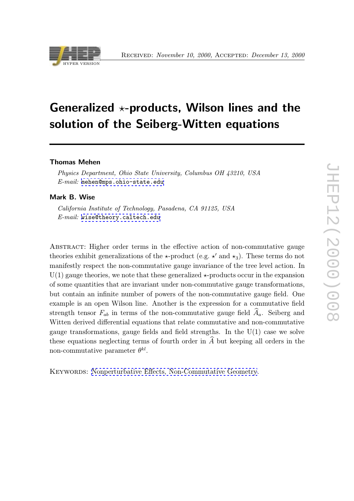

# Generalized  $\star$ -products, Wilson lines and the solution of the Seiberg-Witten equations

### Thomas Mehen

Physics Department, Ohio State University, Columbus OH 43210, USA  $E-mail:$  mehen@mps.ohio-state.edu

#### Mark B. Wise

Californ[ia Institute of Technology, Pa](mailto:mehen@mps.ohio-state.edu)sadena, CA 91125, USA E-mail: wise@theory.caltech.edu

Abstract: [Higher order terms in](mailto:wise@theory.caltech.edu) the effective action of non-commutative gauge theories exhibit generalizations of the  $\star$ -product (e.g.  $\star'$  and  $\star_3$ ). These terms do not manifestly respect the non-commutative gauge invariance of the tree level action. In  $U(1)$  gauge theories, we note that these generalized  $\star$ -products occur in the expansion of some quantities that are invariant under non-commutative gauge transformations, but contain an infinite number of powers of the non-commutative gauge field. One example is an open Wilson line. Another is the expression for a commutative field strength tensor  $F_{ab}$  in terms of the non-commutative gauge field  $A_a$ . Seiberg and Witten derived differential equations that relate commutative and non-commutative gauge transformations, gauge fields and field strengths. In the  $U(1)$  case we solve these equations neglecting terms of fourth order in  $A$  but keeping all orders in the non-commutative parameter  $\theta^{kl}$ .

KEYWORDS: Nonperturbative Effects, Non-Commutative Geometry.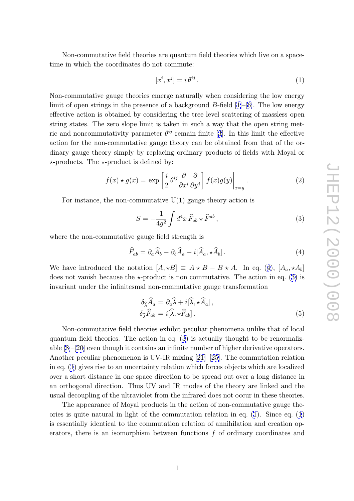<span id="page-1-0"></span>Non-commutative field theories are quantum field theories which live on a spacetime in which the coordinates do not commute:

$$
[x^i, x^j] = i \,\theta^{ij} \,. \tag{1}
$$

Non-commutative gauge theories emerge naturally when considering the low energy limit of open strings in the presence of a background B-field [1]–[6]. The low energy effective action is obtained by considering the tree level scattering of massless open string states. The zero slope limit is taken in such a way that the open string metric and noncommutativity parameter  $\theta^{ij}$  remain finite [3]. In [th](#page-7-0)i[s](#page-7-0) limit the effective action for the non-commutative gauge theory can be obtained from that of the ordinary gauge theory simply by replacing ordinary products of fields with Moyal or  $\star$ -products. The  $\star$ -product is defined by:

$$
f(x) \star g(x) = \exp\left[\frac{i}{2}\theta^{ij}\frac{\partial}{\partial x^i}\frac{\partial}{\partial y^j}\right]f(x)g(y)\Big|_{x=y}.
$$
 (2)

For instance, the non-commutative  $U(1)$  gauge theory action is

$$
S = -\frac{1}{4g^2} \int d^4x \,\widehat{F}_{ab} \star \widehat{F}^{ab} \,, \tag{3}
$$

where the non-commutative gauge field strength is

$$
\widehat{F}_{ab} = \partial_a \widehat{A}_b - \partial_b \widehat{A}_a - i[\widehat{A}_a, \star \widehat{A}_b]. \tag{4}
$$

We have introduced the notation  $[A, \star B] \equiv A \star B - B \star A$ . In eq. (4),  $[A_a, \star A_b]$ does not vanish because the  $\star$ -product is non commutative. The action in eq. (3) is invariant under the infinitesmal non-commutative gauge transformation

$$
\delta_{\widehat{\lambda}} \widehat{A}_a = \partial_a \widehat{\lambda} + i[\widehat{\lambda}, \star \widehat{A}_a],
$$
  
\n
$$
\delta_{\widehat{\lambda}} \widehat{F}_{ab} = i[\widehat{\lambda}, \star \widehat{F}_{ab}].
$$
\n(5)

Non-commutative field theories exhibit peculiar phenomena unlike that of local quantum field theories. The action in eq. (3) is actually thought to be renormalizable [8]–[20] even though it contains an infinite number of higher derivative operators. Another peculiar phenomenon is UV-IR mixing [21]–[25]. The commutation relation in eq. (1) gives rise to an uncertainty relation which forces objects which are localized over [a](#page-7-0) s[hort](#page-8-0) distance in one space direction to be spread out over a long distance in an orthogonal direction. Thus UV and IR mod[es](#page-8-0) of [th](#page-9-0)e theory are linked and the usual decoupling of the ultraviolet from the infrared does not occur in these theories.

The appearance of Moyal products in the action of non-commutative gauge theories is quite natural in light of the commutation relation in eq. (1). Since eq. (1) is essentially identical to the commutation relation of annihilation and creation operators, there is an isomorphism between functions  $f$  of ordinary coordinates and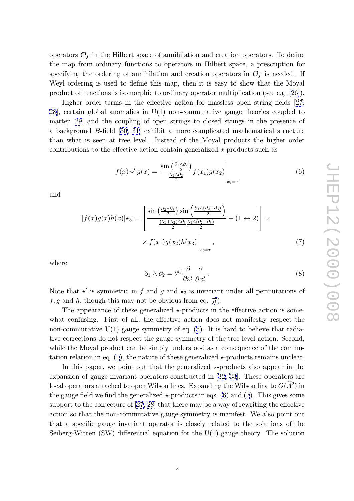operators  $\mathcal{O}_f$  in the Hilbert space of annihilation and creation operators. To define the map from ordinary functions to operators in Hilbert space, a prescription for specifying the ordering of annihilation and creation operators in  $\mathcal{O}_f$  is needed. If Weyl ordering is used to define this map, then it is easy to show that the Moyal product of functions is isomorphic to ordinary operator multiplication (see e.g. [26]).

Higher order terms in the effective action for massless open string fields [27, 28], certain global anomalies in U(1) non-commutative gauge theories coupled to matter [29] and the coupling of open strings to closed strings in the presen[ce](#page-9-0) of a background B-field [30, 31] exhibit a more complicated mathematical struct[ure](#page-9-0) [tha](#page-9-0)n what is seen at tree level. Instead of the Moyal products the higher order contribu[tio](#page-9-0)ns to the effective action contain generalized  $\star$ -products such as

$$
f(x) \star' g(x) = \frac{\sin\left(\frac{\partial_1 \wedge \partial_2}{2}\right)}{\frac{\partial_1 \wedge \partial_2}{2}} f(x_1) g(x_2) \Big|_{x_i = x}
$$
(6)

and

$$
[f(x)g(x)h(x)]\star_3 = \left[\frac{\sin\left(\frac{\partial_2\wedge\partial_3}{2}\right)\sin\left(\frac{\partial_1\wedge(\partial_2+\partial_3)}{2}\right)}{\frac{(\partial_1+\partial_2)\wedge\partial_3}{2}\frac{\partial_1\wedge(\partial_2+\partial_3)}{2}} + (1 \leftrightarrow 2)\right] \times \times f(x_1)g(x_2)h(x_3)\Big|_{x_i=x},\tag{7}
$$

where

$$
\partial_1 \wedge \partial_2 = \theta^{ij} \frac{\partial}{\partial x_1^i} \frac{\partial}{\partial x_2^j} . \tag{8}
$$

Note that  $\star'$  is symmetric in f and g and  $\star_3$  is invariant under all permutations of  $f, g$  and h, though this may not be obvious from eq.  $(7)$ .

The appearance of these generalized  $\star$ -products in the effective action is somewhat confusing. First of all, the effective action does not manifestly respect the non-commutative  $U(1)$  gauge symmetry of eq. (5). It is hard to believe that radiative corrections do not respect the gauge symmetry of the tree level action. Second, while the Moyal product can be simply understood as a consequence of the commutation relation in eq. (1), the nature of these gen[er](#page-1-0)alized  $\star$ -products remains unclear.

In this paper, we point out that the generalized  $\star$ -products also appear in the expansion of gauge invariant operators constructed in [32, 33]. These operators are local operators attach[ed](#page-1-0) to open Wilson lines. Expanding the Wilson line to  $O(\hat{A}^2)$  in the gauge field we find the generalized  $\star$ -products in eqs. (6) and (7). This gives some support to the conjecture of [27, 28] that there may be a [way of](#page-9-0) rewriting the effective action so that the non-commutative gauge symmetry is manifest. We also point out that a specific gauge invariant operator is closely related to the solutions of the Seiberg-Witten (SW) differe[ntial e](#page-9-0)quation for the U(1) gauge theory. The solution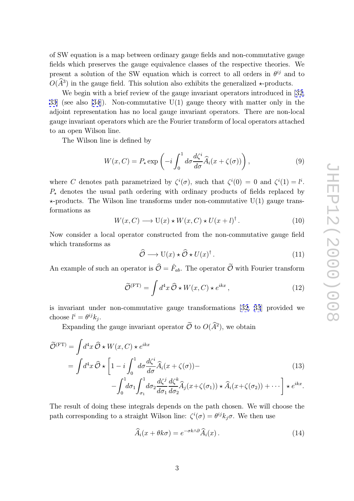of SW equation is a map between ordinary gauge fields and non-commutative gauge fields which preserves the gauge equivalence classes of the respective theories. We present a solution of the SW equation which is correct to all orders in  $\theta^{ij}$  and to  $O(A^3)$  in the gauge field. This solution also exhibits the generalized  $\star$ -products.

We begin with a brief review of the gauge invariant operators introduced in [32, 33] (see also [34]). Non-commutative U(1) gauge theory with matter only in the adjoint representation has no local gauge invariant operators. There are non-local gauge invariant operators which are the Fourier transform of local operators attac[hed](#page-9-0) [to](#page-9-0) an open W[ilso](#page-9-0)n line.

The Wilson line is defined by

$$
W(x, C) = P_{\star} \exp\left(-i \int_0^1 d\sigma \frac{d\zeta^i}{d\sigma} \widehat{A}_i(x + \zeta(\sigma))\right),\tag{9}
$$

where C denotes path parametrized by  $\zeta^{i}(\sigma)$ , such that  $\zeta^{i}(0) = 0$  and  $\zeta^{i}(1) = l^{i}$ .  $P_{\star}$  denotes the usual path ordering with ordinary products of fields replaced by  $\star$ -products. The Wilson line transforms under non-commutative U(1) gauge transformations as

$$
W(x, C) \longrightarrow U(x) \star W(x, C) \star U(x + l)^{\dagger}.
$$
 (10)

Now consider a local operator constructed from the non-commutative gauge field which transforms as

$$
\widehat{\mathcal{O}} \longrightarrow U(x) \star \widehat{\mathcal{O}} \star U(x)^{\dagger} . \tag{11}
$$

An example of such an operator is  $\widehat{\mathcal{O}} = \widehat{F}_{ab}$ . The operator  $\widetilde{\mathcal{O}}$  with Fourier transform

$$
\widetilde{\mathcal{O}}^{(\text{FT})} = \int d^4x \,\widehat{\mathcal{O}} \star W(x, C) \star e^{ikx}, \qquad (12)
$$

is invariant under non-commutative gauge transformations [32, 33] provided we choose  $l^i = \theta^{ij} k_j$ .

Expanding the gauge invariant operator  $\mathcal{O}$  to  $O(\hat{A}^2)$ , we obtain

$$
\widetilde{\mathcal{O}}^{(\text{FT})} = \int d^4x \, \widehat{\mathcal{O}} \star W(x, C) \star e^{ikx}
$$
\n
$$
= \int d^4x \, \widehat{\mathcal{O}} \star \left[1 - i \int_0^1 d\sigma \frac{d\zeta^i}{d\sigma} \widehat{A}_i(x + \zeta(\sigma)) - \int_0^1 d\sigma_1 \int_{\sigma_1}^1 d\sigma_2 \frac{d\zeta^j}{d\sigma_1} \frac{d\zeta^k}{d\sigma_2} \widehat{A}_j(x + \zeta(\sigma_1)) \star \widehat{A}_i(x + \zeta(\sigma_2)) + \cdots \right] \star e^{ikx}.
$$
\n(13)

The result of doing these integrals depends on the path chosen. We will choose the path corresponding to a straight Wilson line:  $\zeta^i(\sigma) = \theta^{ij} k_j \sigma$ . We then use

$$
\widehat{A}_i(x + \theta k \sigma) = e^{-\sigma k \wedge \partial} \widehat{A}_i(x). \tag{14}
$$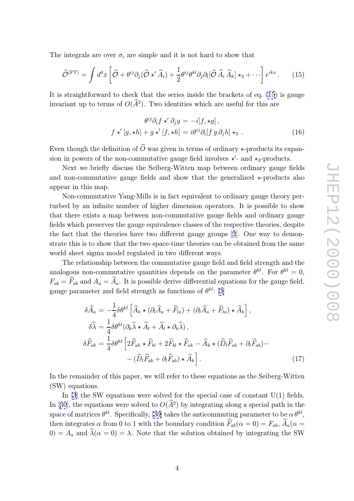<span id="page-4-0"></span>The integrals are over  $\sigma_i$  are simple and it is not hard to show that

$$
\widetilde{\mathcal{O}}^{(\text{FT})} = \int d^4x \left[ \widehat{\mathcal{O}} + \theta^{ij} \partial_j (\widehat{\mathcal{O}} \star' \widehat{A}_i) + \frac{1}{2} \theta^{ij} \theta^{kl} \partial_j \partial_l [\widehat{\mathcal{O}} \widehat{A}_i \widehat{A}_k] \star_3 + \cdots \right] e^{ikx} . \tag{15}
$$

It is straightforward to check that the series inside the brackets of eq. (15) is gauge invariant up to terms of  $O(A^2)$ . Two identities which are useful for this are

$$
\theta^{ij}\partial_i f \star' \partial_j g = -i[f, \star g],
$$
  

$$
f \star' [g, \star h] + g \star' [f, \star h] = i\theta^{ij}\partial_i[f g \partial_j h] \star_3.
$$
 (16)

Even though the definition of  $O$  was given in terms of ordinary  $\star$ -products its expansion in powers of the non-commutative gauge field involves  $\star'$ - and  $\star$ <sub>3</sub>-products.

Next we briefly discuss the Seiberg-Witten map between ordinary gauge fields and non-commutative gauge fields and show that the generalized  $\star$ -products also appear in this map.

Non-commutative Yang-Mills is in fact equivalent to ordinary gauge theory perturbed by an infinite number of higher dimension operators. It is possible to show that there exists a map between non-commutative gauge fields and ordinary gauge fields which preserves the gauge equivalence classes of the respective theories, despite the fact that the theories have two different gauge groups [3]. One way to demonstrate this is to show that the two space-time theories can be obtained from the same world sheet sigma model regulated in two different ways.

The relationship between the commutative gauge field a[nd](#page-7-0) field strength and the analogous non-commutative quantities depends on the parameter  $\theta^{kl}$ . For  $\theta^{kl} = 0$ ,  $F_{ab} = F_{ab}$  and  $A_a = A_a$ . It is possible derive differential equations for the gauge field, gauge parameter and field strength as functions of  $\theta^{kl}$ : [3]

$$
\delta\widehat{A}_a = -\frac{1}{4}\delta\theta^{kl}\left[\widehat{A}_k \star (\partial_l \widehat{A}_a + \widehat{F}_{la}) + (\partial_l \widehat{A}_a + \widehat{F}_{la}) \star \widehat{A}_k\right],
$$
  
\n
$$
\delta\widehat{\lambda} = \frac{1}{4}\delta\theta^{kl}(\partial_k \widehat{\lambda} \star \widehat{A}_l + \widehat{A}_l \star \partial_k \widehat{\lambda}),
$$
  
\n
$$
\delta\widehat{F}_{ab} = \frac{1}{4}\delta\theta^{kl}\left[2\widehat{F}_{ak} \star \widehat{F}_{bl} + 2\widehat{F}_{bl} \star \widehat{F}_{ak} - \widehat{A}_k \star (\widehat{D}_l \widehat{F}_{ab} + \partial_l \widehat{F}_{ab}) - (\widehat{D}_l \widehat{F}_{ab} + \partial_l \widehat{F}_{ab}) \star \widehat{A}_k\right].
$$
\n(17)

In the remainder of this paper, we will refer to these equations as the Seiberg-Witten (SW) equations.

In  $[3]$  the SW equations were solved for the special case of constant  $U(1)$  fields. In [30], the equations were solved to  $O(A^2)$  by integrating along a special path in the space of matrices  $\theta^{kl}$ . Specifically, [30] takes the anticommuting parameter to be  $\alpha \theta^{kl}$ , then in[te](#page-7-0)grates  $\alpha$  from 0 to 1 with the boundary condition  $F_{ab}(\alpha = 0) = F_{ab}$ ,  $A_a(\alpha = 0)$  $(0) = A_a$  $(0) = A_a$  $(0) = A_a$  and  $\lambda(\alpha = 0) = \lambda$ . Note that the solution obtained by integrating the SW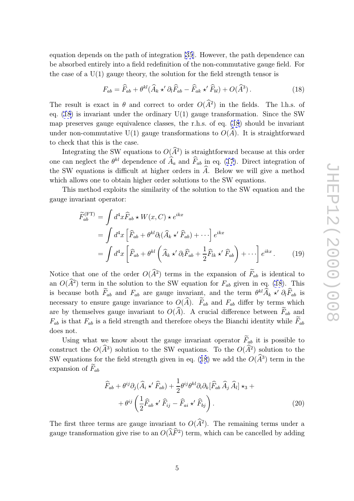equation depends on the path of integration [35]. However, the path dependence can be absorbed entirely into a field redefinition of the non-commutative gauge field. For the case of a  $U(1)$  gauge theory, the solution for the field strength tensor is

$$
F_{ab} = \widehat{F}_{ab} + \theta^{kl} (\widehat{A}_k \star' \partial_l \widehat{F}_{ab} - \widehat{F}_{ak} \star' \widehat{F}_{bl}) + O(\widehat{A}^3).
$$
 (18)

The result is exact in  $\theta$  and correct to order  $O(A^2)$  in the fields. The l.h.s. of eq.  $(18)$  is invariant under the ordinary  $U(1)$  gauge transformation. Since the SW map preserves gauge equivalence classes, the r.h.s. of eq. (18) should be invariant under non-commutative  $U(1)$  gauge transformations to  $O(A)$ . It is straightforward to check that this is the case.

Integrating the SW equations to  $O(A^2)$  is straightforward because at this order one can neglect the  $\theta^{kl}$  dependence of  $\hat{A}_a$  and  $\hat{F}_{ab}$  in eq. (17). Direct integration of the SW equations is difficult at higher orders in  $A$ . Below we will give a method which allows one to obtain higher order solutions to the SW equations.

This method exploits the similarity of the solution to [th](#page-4-0)e SW equation and the gauge invariant operator:

$$
\widetilde{F}_{ab}^{(\text{FT})} = \int d^4x \widehat{F}_{ab} \star W(x, C) \star e^{ikx} \n= \int d^4x \left[ \widehat{F}_{ab} + \theta^{kl} \partial_l (\widehat{A}_k \star' \widehat{F}_{ab}) + \cdots \right] e^{ikx} \n= \int d^4x \left[ \widehat{F}_{ab} + \theta^{kl} \left( \widehat{A}_k \star' \partial_l \widehat{F}_{ab} + \frac{1}{2} \widehat{F}_{lk} \star' \widehat{F}_{ab} \right) + \cdots \right] e^{ikx}.
$$
\n(19)

Notice that one of the order  $O(A^2)$  terms in the expansion of  $F_{ab}$  is identical to an  $O(A^2)$  term in the solution to the SW equation for  $F_{ab}$  given in eq. (18). This is because both  $\tilde{F}_{ab}$  and  $F_{ab}$  are gauge invariant, and the term  $\theta^{kl}\hat{A}_k \star' \partial_l \tilde{F}_{ab}$  is necessary to ensure gauge invariance to  $O(A)$ .  $F_{ab}$  and  $F_{ab}$  differ by terms which are by themselves gauge invariant to  $O(A)$ . A crucial difference between  $F_{ab}$  and  $F_{ab}$  is that  $F_{ab}$  is a field strength and therefore obeys the Bianchi identity while  $F_{ab}$ does not.

Using what we know about the gauge invariant operator  $F_{ab}$  it is possible to construct the  $O(A^3)$  solution to the SW equations. To the  $O(A^2)$  solution to the SW equations for the field strength given in eq. (18) we add the  $O(A^3)$  term in the expansion of  $F_{ab}$ 

$$
\widehat{F}_{ab} + \theta^{ij}\partial_j(\widehat{A}_i \star' \widehat{F}_{ab}) + \frac{1}{2}\theta^{ij}\theta^{kl}\partial_i\partial_k[\widehat{F}_{ab}\,\widehat{A}_j\,\widehat{A}_l] \star_3 + \n+ \theta^{ij}\left(\frac{1}{2}\widehat{F}_{ab} \star' \widehat{F}_{ij} - \widehat{F}_{ai} \star' \widehat{F}_{bj}\right).
$$
\n(20)

The first three terms are gauge invariant to  $O(A^2)$ . The remaining terms under a gauge transformation give rise to an  $O(\lambda \tilde{F}^2)$  term, which can be cancelled by adding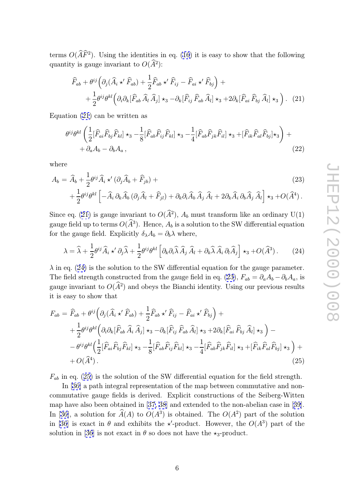terms  $O(\widehat{AF}^2)$ . Using the identities in eq. (16) it is easy to show that the following quantity is gauge invariant to  $O(A^2)$ :

$$
\widehat{F}_{ab} + \theta^{ij} \left( \partial_j (\widehat{A}_i \star' \widehat{F}_{ab}) + \frac{1}{2} \widehat{F}_{ab} \star' \widehat{F}_{ij} - \widehat{F}_{ai} \star' \widehat{F}_{bj} \right) + \n+ \frac{1}{2} \theta^{ij} \theta^{kl} \left( \partial_i \partial_k [\widehat{F}_{ab} \widehat{A}_l \widehat{A}_j] \star_3 - \partial_k [\widehat{F}_{ij} \widehat{F}_{ab} \widehat{A}_l] \star_3 + 2 \partial_k [\widehat{F}_{ai} \widehat{F}_{bj} \widehat{A}_l] \star_3 \right). (21)
$$

Equation (21) can be written as

$$
\theta^{ij}\theta^{kl}\left(\frac{1}{2}[\widehat{F}_{ai}\widehat{F}_{bj}\widehat{F}_{kl}]\star_3-\frac{1}{8}[\widehat{F}_{ab}\widehat{F}_{ij}\widehat{F}_{kl}]\star_3-\frac{1}{4}[\widehat{F}_{ab}\widehat{F}_{jk}\widehat{F}_{il}]\star_3+[\widehat{F}_{ik}\widehat{F}_{al}\widehat{F}_{bj}]\star_3\right)++\partial_aA_b-\partial_bA_a,
$$
\n(22)

where

$$
A_{b} = \widehat{A}_{b} + \frac{1}{2} \theta^{ij} \widehat{A}_{i} \star' (\partial_{j} \widehat{A}_{b} + \widehat{F}_{jb}) +
$$
  
+ 
$$
\frac{1}{2} \theta^{ij} \theta^{kl} \left[ -\widehat{A}_{i} \partial_{k} \widehat{A}_{b} (\partial_{j} \widehat{A}_{l} + \widehat{F}_{jl}) + \partial_{k} \partial_{i} \widehat{A}_{b} \widehat{A}_{j} \widehat{A}_{l} + 2 \partial_{k} \widehat{A}_{i} \partial_{b} \widehat{A}_{j} \widehat{A}_{l} \right] \star_{3} + O(\widehat{A}^{4}).
$$
\n(23)

Since eq. (21) is gauge invariant to  $O(\hat{A}^2)$ ,  $A_b$  must transform like an ordinary U(1) gauge field up to terms  $O(A^3)$ . Hence,  $A_b$  is a solution to the SW differential equation for the gauge field. Explicitly  $\delta_{\lambda} A_b = \partial_b \lambda$  where,

$$
\lambda = \hat{\lambda} + \frac{1}{2} \theta^{ij} \hat{A}_i \star' \partial_j \hat{\lambda} + \frac{1}{2} \theta^{ij} \theta^{kl} \left[ \partial_k \partial_i \hat{\lambda} \hat{A}_j \hat{A}_l + \partial_k \hat{\lambda} \hat{A}_i \partial_l \hat{A}_j \right] \star_3 + O(\hat{A}^3). \tag{24}
$$

 $\lambda$  in eq. (24) is the solution to the SW differential equation for the gauge parameter. The field strength constructed from the gauge field in eq. (23),  $F_{ab} = \partial_a A_b - \partial_b A_a$ , is gauge invariant to  $O(A^2)$  and obeys the Bianchi identity. Using our previous results it is easy to show that

$$
F_{ab} = \widehat{F}_{ab} + \theta^{ij} \left( \partial_j (\widehat{A}_i \star' \widehat{F}_{ab}) + \frac{1}{2} \widehat{F}_{ab} \star' \widehat{F}_{ij} - \widehat{F}_{ai} \star' \widehat{F}_{bj} \right) + + \frac{1}{2} \theta^{ij} \theta^{kl} \left( \partial_i \partial_k [\widehat{F}_{ab} \widehat{A}_i \widehat{A}_j] \star_3 - \partial_k [\widehat{F}_{ij} \widehat{F}_{ab} \widehat{A}_l] \star_3 + 2 \partial_k [\widehat{F}_{ai} \widehat{F}_{bj} \widehat{A}_l] \star_3 \right) - - \theta^{ij} \theta^{kl} \left( \frac{1}{2} [\widehat{F}_{ai} \widehat{F}_{bj} \widehat{F}_{kl}] \star_3 - \frac{1}{8} [\widehat{F}_{ab} \widehat{F}_{ij} \widehat{F}_{kl}] \star_3 - \frac{1}{4} [\widehat{F}_{ab} \widehat{F}_{jk} \widehat{F}_{il}] \star_3 + [\widehat{F}_{ik} \widehat{F}_{al} \widehat{F}_{bj}] \star_3 \right) + + O(\widehat{A}^4).
$$
\n(25)

 $F_{ab}$  in eq. (25) is the solution of the SW differential equation for the field strength.

In [36] a path integral representation of the map between commutative and noncommutative gauge fields is derived. Explicit constructions of the Seiberg-Witten map have also been obtained in [37, 38] and extended to the non-abelian case in [39]. In [36], [a](#page-9-0) solution for  $\hat{A}(A)$  to  $O(A^3)$  is obtained. The  $O(A^2)$  part of the solution in [36] is exact in  $\theta$  and exhibits the  $\star'$ -product. However, the  $O(A^3)$  part of the [so](#page-9-0)lution in [36] is not exact in  $\theta$  so [doe](#page-9-0)s not have the  $\star_3$ -product.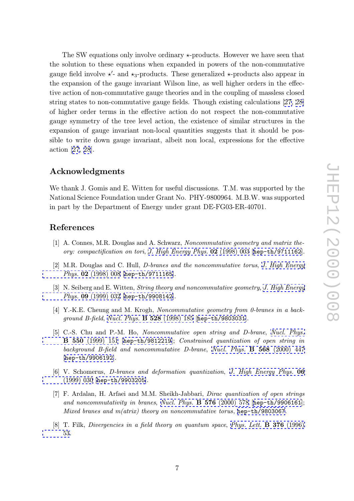<span id="page-7-0"></span>The SW equations only involve ordinary  $\star$ -products. However we have seen that the solution to these equations when expanded in powers of the non-commutative gauge field involve  $\star'$ - and  $\star_3$ -products. These generalized  $\star$ -products also appear in the expansion of the gauge invariant Wilson line, as well higher orders in the effective action of non-commutative gauge theories and in the coupling of massless closed string states to non-commutative gauge fields. Though existing calculations [27, 28] of higher order terms in the effective action do not respect the non-commutative gauge symmetry of the tree level action, the existence of similar structures in the expansion of gauge invariant non-local quantities suggests that it should [be](#page-9-0) [pos](#page-9-0)sible to write down gauge invariant, albeit non local, expressions for the effective action [27, 28].

## Acknowledgments

We thank J. Gomis and E. Witten for useful discussions. T.M. was supported by the National Science Foundation under Grant No. PHY-9800964. M.B.W. was supported in part by the Department of Energy under grant DE-FG03-ER-40701.

## References

- [1] A. Connes, M.R. Douglas and A. Schwarz, Noncommutative geometry and matrix theory: compactification on tori, J. High Energy Phys. 02 (1998) 003 [hep-th/9711162].
- [2] M.R. Douglas and C. Hull, *D*-branes and the noncommutative torus, *J. High Energy* Phys. 02 (1998) 008 [hep-th/9711165].
- [3] N. Seiberg [and](http://jhep.sissa.it/stdsearch?paper=02%281998%29003) E. Witten, *Stri[ng](http://jhep.sissa.it/stdsearch?paper=02%281998%29003) [theory](http://jhep.sissa.it/stdsearch?paper=02%281998%29003) and [noncommutative](http://jhep.sissa.it/stdsearch?paper=02%281998%29003) [geome](http://jhep.sissa.it/stdsearch?paper=02%281998%29003)try*, *[J.](http://xxx.lanl.gov/abs/hep-th/9711162) [High](http://xxx.lanl.gov/abs/hep-th/9711162) [Energ](http://xxx.lanl.gov/abs/hep-th/9711162)y* Phys. 09 (1999) 032 [hep-th/9908142].
- [\[4\]](http://jhep.sissa.it/stdsearch?paper=02%281998%29008) [Y.-K.E.](http://jhep.sissa.it/stdsearch?paper=02%281998%29008) [Cheung](http://jhep.sissa.it/stdsearch?paper=02%281998%29008) [and](http://jhep.sissa.it/stdsearch?paper=02%281998%29008) [M.](http://xxx.lanl.gov/abs/hep-th/9711165) [Krogh,](http://xxx.lanl.gov/abs/hep-th/9711165) Noncommutative geometry from 0-branes in a background B-field, Nucl. Phys.  $\bf{B}$  528 (1998) 185 [hep-th/9803031].
- [\[5\]](http://jhep.sissa.it/stdsearch?paper=09%281999%29032) [C.-S.](http://jhep.sissa.it/stdsearch?paper=09%281999%29032) [Chu](http://jhep.sissa.it/stdsearch?paper=09%281999%29032) [and](http://jhep.sissa.it/stdsearch?paper=09%281999%29032) [P.-M](http://jhep.sissa.it/stdsearch?paper=09%281999%29032). Ho, [Noncommu](http://xxx.lanl.gov/abs/hep-th/9908142)tative open string and D-brane, Nucl. Phys. B 550 (1999) 151 [hep-th/9812219]; Constrained quantization of open string in background B-[field and noncommutative D-b](http://www-spires.slac.stanford.edu/spires/find/hep/www?j=NUPHA%2CB528%2C185)rane, [Nucl. Phys.](http://xxx.lanl.gov/abs/hep-th/9803031) **B 568** (2000) 447 [hep-th/9906192].
- [\[6\] V. Schomerus,](http://www-spires.slac.stanford.edu/spires/find/hep/www?j=NUPHA%2CB550%2C151) D-br[anes and deforma](http://xxx.lanl.gov/abs/hep-th/9812219)tion quantization , J. High Energy Phys. 06 (1999) 030 [hep-th/9903205].
- [7] [F.](http://xxx.lanl.gov/abs/hep-th/9906192) [Ardalan,](http://xxx.lanl.gov/abs/hep-th/9906192) [H.](http://xxx.lanl.gov/abs/hep-th/9906192) [A](http://xxx.lanl.gov/abs/hep-th/9906192)rfaei and M.M. Sheikh-Jabbari, Dirac quantization of open strings and noncommutativity in branes, Nucl. Phys. B 576 (2000) 578 [[hep-th/9906161](http://jhep.sissa.it/stdsearch?paper=06%281999%29030)]; [Mixed bran](http://jhep.sissa.it/stdsearch?paper=06%281999%29030)es and  $m(atrix)$  theory on noncommutative torus, hep-th/9803067.
- [8] T. Filk, Divergencies in a field theory on quantum space, Phys. Lett. **B** 376 (1996) 53.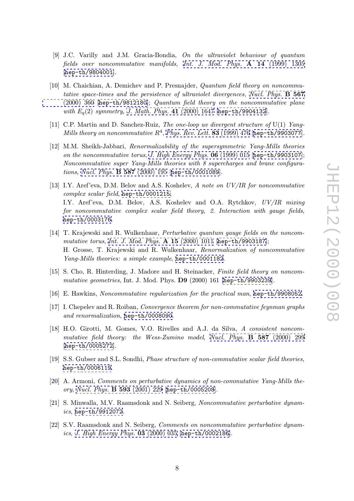- <span id="page-8-0"></span>[9] J.C. Varilly and J.M. Gracia-Bondia, On the ultraviolet behaviour of quantum fields over noncommutative manifolds, Int. J. Mod. Phys. **A 14** (1999) 1305 [hep-th/9804001].
- [10] M. Chaichian, A. Demichev and P. Presnajder, Quantum field theory on noncommutative space-times and the persistence of [ultraviolet divergences](http://www-spires.slac.stanford.edu/spires/find/hep/www?j=IMPAE%2CA14%2C1305), Nucl. Phys. B 567 [\(2000\) 360 \[](http://xxx.lanl.gov/abs/hep-th/9804001)hep-th/9812180]; Quantum field theory on the noncommutative plane with  $E_q(2)$  symmetry, J. Math. Phys. 41 (2000) 1647 [hep-th/9904132].
- [11] C.P. Martin and D. Sanchez-Ruiz, *The one-loop uv divergent stru[cture of](http://www-spires.slac.stanford.edu/spires/find/hep/www?j=NUPHA%2CB567%2C360)*  $U(1)$  Yang-[Mills theory](http://www-spires.slac.stanford.edu/spires/find/hep/www?j=NUPHA%2CB567%2C360) [on noncommutativ](http://xxx.lanl.gov/abs/hep-th/9812180)e  $R^4$ , Phys. Rev. Lett. 83 (1999) 476 [hep-th/9903077].
- [12] M.M. Sheikh-Jabbari, [Renormalizability](http://www-spires.slac.stanford.edu/spires/find/hep/www?j=JMAPA%2C41%2C1647) [of](http://www-spires.slac.stanford.edu/spires/find/hep/www?j=JMAPA%2C41%2C1647) [the](http://www-spires.slac.stanford.edu/spires/find/hep/www?j=JMAPA%2C41%2C1647) [super](http://www-spires.slac.stanford.edu/spires/find/hep/www?j=JMAPA%2C41%2C1647)[symmetric](http://xxx.lanl.gov/abs/hep-th/9904132) [Yang-M](http://xxx.lanl.gov/abs/hep-th/9904132)ills theories on the noncommutative torus, J. High Energy Phys. 06 (1999) 015 [hep-th/9903107]; Noncommutative super Yang-Mills t[heories with 8 supercharges an](http://www-spires.slac.stanford.edu/spires/find/hep/www?j=PRLTA%2C83%2C476)[d brane configura](http://xxx.lanl.gov/abs/hep-th/9903077)tions, Nucl. Phys. **B 587** (2000) 195 [hep-th/0001089].
- [13] I.Y. Aref'eva, D.M. Belov and A.S. Koshelev, [A note on UV/IR f](http://jhep.sissa.it/stdsearch?paper=06%281999%29015)o[r noncommutativ](http://xxx.lanl.gov/abs/hep-th/9903107)e complex scalar field, hep-th/0001215; I.Y. [Aref'eva, D.M. Belov, A.S. K](http://www-spires.slac.stanford.edu/spires/find/hep/www?j=NUPHA%2CB587%2C195)[oshelev and O.A](http://xxx.lanl.gov/abs/hep-th/0001089). Rytchkov, UV/IR mixing for noncommutative complex scalar field theory, 2. Interaction with gauge fields, hep-th/0003176 .
- [14] T. Krajewski and R. Wulkenhaar, Perturbative quantum gauge fields on the noncommutative torus, Int. J. Mod. Phys.  $A$  15 (2000) 1011 [hep-th/9903187]; [H. Grosse, T. K](http://xxx.lanl.gov/abs/hep-th/0003176)rajewski and R. Wulkenhaar, Renormalization of noncommutative Yang-Mills theories: a simple example, hep-th/0001182.
- [15] S. Cho, R. Hin[terding, J. Madore and H. Steinacker,](http://www-spires.slac.stanford.edu/spires/find/hep/www?j=IMPAE%2CA15%2C1011) [Finite field theory](http://xxx.lanl.gov/abs/hep-th/9903187) on noncommutative geometries, Int. J. Mod. Phys. D9 (2000) 161 [hep-th/9903239].
- [16] E. Hawkins, Noncommutative regulariz[ation](http://xxx.lanl.gov/abs/hep-th/0001182) [for](http://xxx.lanl.gov/abs/hep-th/0001182) [the](http://xxx.lanl.gov/abs/hep-th/0001182) [pract](http://xxx.lanl.gov/abs/hep-th/0001182)ical man, hep-th/9908052.
- [17] I. Chepelev and R. Roiban, Convergence theorem for non[-commutative feyn](http://xxx.lanl.gov/abs/hep-th/9903239)man graphs and renormalization , hep-th/0008090 .
- [18] H.O. Girotti, M. Gomes, V.O. Rivelles and A.J. da Silva, A c[onsistent](http://xxx.lanl.gov/abs/hep-th/9908052) [noncom](http://xxx.lanl.gov/abs/hep-th/9908052)mutative field theory: the Wess-Zumino model, Nucl. Phys. B 587 (2000) 299 [hep-th/0005272].
- [19] S.S. Gubser and S.L. Sondhi, *Phase structure of non-commutative scalar field theories*, hep-th/0006119 .
- [20] [A.](http://xxx.lanl.gov/abs/hep-th/0005272) [Armoni,](http://xxx.lanl.gov/abs/hep-th/0005272) Comments on perturbative dynamics of non-commutative Yang-Mills theory, Nucl. Phys. B 593 (2001) 229 [hep-th/0005208].
- [21] [S.](http://xxx.lanl.gov/abs/hep-th/0006119) [Minwalla,](http://xxx.lanl.gov/abs/hep-th/0006119) [M.V](http://xxx.lanl.gov/abs/hep-th/0006119). Raamsdonk and N. Seiberg, Noncommutative perturbative dynamics, hep-th/9912072.
- [22] S.V. [Raamsdonk](http://www-spires.slac.stanford.edu/spires/find/hep/www?j=NUPHA%2CB593%2C229) [and](http://www-spires.slac.stanford.edu/spires/find/hep/www?j=NUPHA%2CB593%2C229) [N.](http://www-spires.slac.stanford.edu/spires/find/hep/www?j=NUPHA%2CB593%2C229) [Seiberg,](http://www-spires.slac.stanford.edu/spires/find/hep/www?j=NUPHA%2CB593%2C229) Co[mments](http://xxx.lanl.gov/abs/hep-th/0005208) [on](http://xxx.lanl.gov/abs/hep-th/0005208) [nonco](http://xxx.lanl.gov/abs/hep-th/0005208)mmutative perturbative dynamics, J. High Energy Phys.  $03$  (2000) 035 [hep-th/0002186].